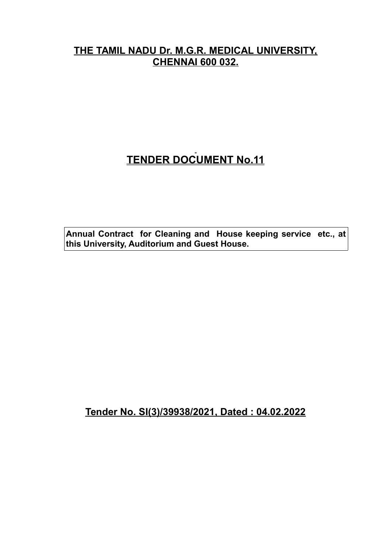# **THE TAMIL NADU Dr. M.G.R. MEDICAL UNIVERSITY, CHENNAI 600 032.**

# **TENDER DOCUMENT No.11**

**Annual Contract for Cleaning and House keeping service etc., at this University, Auditorium and Guest House.**

**Tender No. SI(3)/39938/2021, Dated : 04.02.2022**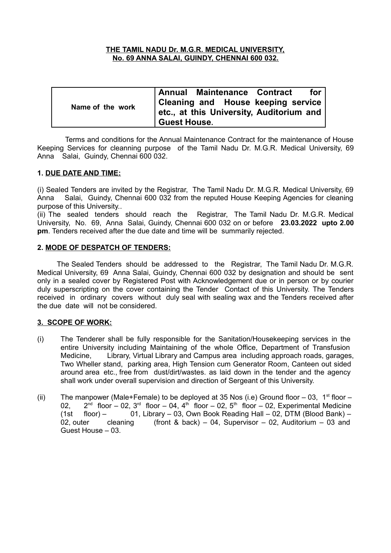#### **THE TAMIL NADU Dr. M.G.R. MEDICAL UNIVERSITY, No. 69 ANNA SALAI, GUINDY, CHENNAI 600 032.**

| Name of the work | Annual Maintenance Contract<br>for                                                    |  |  |  |  |
|------------------|---------------------------------------------------------------------------------------|--|--|--|--|
|                  | <b>Cleaning and House keeping service</b><br>etc., at this University, Auditorium and |  |  |  |  |
|                  | <b>Guest House.</b>                                                                   |  |  |  |  |

 Terms and conditions for the Annual Maintenance Contract for the maintenance of House Keeping Services for cleanning purpose of the Tamil Nadu Dr. M.G.R. Medical University, 69 Anna Salai, Guindy, Chennai 600 032.

#### **1. DUE DATE AND TIME:**

(i) Sealed Tenders are invited by the Registrar, The Tamil Nadu Dr. M.G.R. Medical University, 69 Anna Salai, Guindy, Chennai 600 032 from the reputed House Keeping Agencies for cleaning purpose of this University..

(ii) The sealed tenders should reach the Registrar, The Tamil Nadu Dr. M.G.R. Medical University, No. 69, Anna Salai, Guindy, Chennai 600 032 on or before **23.03.2022 upto 2.00 pm**. Tenders received after the due date and time will be summarily rejected.

#### **2. MODE OF DESPATCH OF TENDERS:**

 The Sealed Tenders should be addressed to the Registrar, The Tamil Nadu Dr. M.G.R. Medical University, 69 Anna Salai, Guindy, Chennai 600 032 by designation and should be sent only in a sealed cover by Registered Post with Acknowledgement due or in person or by courier duly superscripting on the cover containing the Tender Contact of this University. The Tenders received in ordinary covers without duly seal with sealing wax and the Tenders received after the due date will not be considered.

#### **3. SCOPE OF WORK:**

- (i) The Tenderer shall be fully responsible for the Sanitation/Housekeeping services in the entire University including Maintaining of the whole Office, Department of Transfusion Medicine, Library, Virtual Library and Campus area including approach roads, garages, Two Wheller stand, parking area, High Tension cum Generator Room, Canteen out sided around area etc., free from dust/dirt/wastes. as laid down in the tender and the agency shall work under overall supervision and direction of Sergeant of this University.
- (ii) The manpower (Male+Female) to be deployed at 35 Nos (i.e) Ground floor 03, 1<sup>st</sup> floor  $02.$  $2^{nd}$  floor – 02, 3<sup>rd</sup> floor – 04, 4<sup>th</sup> floor – 02, 5<sup>th</sup> floor – 02, Experimental Medicine (1st floor) – 01, Library – 03, Own Book Reading Hall – 02, DTM (Blood Bank) – 02, outer cleaning (front & back) – 04, Supervisor – 02, Auditorium – 03 and Guest House – 03.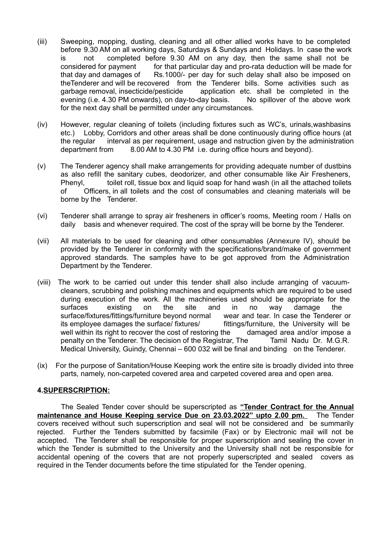- (iii) Sweeping, mopping, dusting, cleaning and all other allied works have to be completed before 9.30 AM on all working days, Saturdays & Sundays and Holidays. In case the work is not completed before 9.30 AM on any day, then the same shall not be considered for payment for that particular day and pro-rata deduction will be made for that day and damages of Rs.1000/- per day for such delay shall also be imposed on theTenderer and will be recovered from the Tenderer bills. Some activities such as garbage removal, insecticide/pesticide application etc. shall be completed in the evening (i.e. 4.30 PM onwards), on day-to-day basis. No spillover of the above work for the next day shall be permitted under any circumstances.
- (iv) However, regular cleaning of toilets (including fixtures such as WC's, urinals,washbasins etc.) Lobby, Corridors and other areas shall be done continuously during office hours (at the regular interval as per requirement, usage and nstruction given by the administration department from 8.00 AM to 4.30 PM i.e. during office hours and beyond).
- (v) The Tenderer agency shall make arrangements for providing adequate number of dustbins as also refill the sanitary cubes, deodorizer, and other consumable like Air Fresheners, Phenyl, toilet roll, tissue box and liquid soap for hand wash (in all the attached toilets of Officers, in all toilets and the cost of consumables and cleaning materials will be borne by the Tenderer.
- (vi) Tenderer shall arrange to spray air fresheners in officer's rooms, Meeting room / Halls on daily basis and whenever required. The cost of the spray will be borne by the Tenderer.
- (vii) All materials to be used for cleaning and other consumables (Annexure IV), should be provided by the Tenderer in conformity with the specifications/brand/make of government approved standards. The samples have to be got approved from the Administration Department by the Tenderer.
- (viii) The work to be carried out under this tender shall also include arranging of vacuumcleaners, scrubbing and polishing machines and equipments which are required to be used during execution of the work. All the machineries used should be appropriate for the surfaces existing on the site and in no way damage the surface/fixtures/fittings/furniture beyond normal wear and tear. In case the Tenderer or its employee damages the surface/ fixtures/ fittings/furniture, the University will be well within its right to recover the cost of restoring the damaged area and/or impose a penalty on the Tenderer. The decision of the Registrar, The Tamil Nadu Dr. M.G.R. Medical University, Guindy, Chennai – 600 032 will be final and binding on the Tenderer.
- (ix) For the purpose of Sanitation/House Keeping work the entire site is broadly divided into three parts, namely, non-carpeted covered area and carpeted covered area and open area.

#### **4.SUPERSCRIPTION:**

The Sealed Tender cover should be superscripted as **"Tender Contract for the Annual maintenance and House Keeping service Due on 23.03.2022" upto 2.00 pm.** The Tender covers received without such superscription and seal will not be considered and be summarily rejected. Further the Tenders submitted by facsimile (Fax) or by Electronic mail will not be accepted. The Tenderer shall be responsible for proper superscription and sealing the cover in which the Tender is submitted to the University and the University shall not be responsible for accidental opening of the covers that are not properly superscripted and sealed covers as required in the Tender documents before the time stipulated for the Tender opening.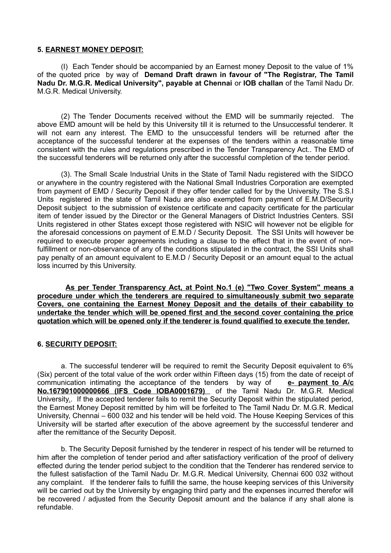#### **5. EARNEST MONEY DEPOSIT:**

(I) Each Tender should be accompanied by an Earnest money Deposit to the value of 1% of the quoted price by way of **Demand Draft drawn in favour of "The Registrar, The Tamil Nadu Dr. M.G.R. Medical University", payable at Chennai** or **IOB challan** of the Tamil Nadu Dr. M.G.R. Medical University.

(2) The Tender Documents received without the EMD will be summarily rejected. The above EMD amount will be held by this University till it is returned to the Unsuccessful tenderer. It will not earn any interest. The EMD to the unsuccessful tenders will be returned after the acceptance of the successful tenderer at the expenses of the tenders within a reasonable time consistent with the rules and regulations prescribed in the Tender Transparency Act.. The EMD of the successful tenderers will be returned only after the successful completion of the tender period.

(3). The Small Scale Industrial Units in the State of Tamil Nadu registered with the SIDCO or anywhere in the country registered with the National Small Industries Corporation are exempted from payment of EMD / Security Deposit if they offer tender called for by the University. The S.S.I Units registered in the state of Tamil Nadu are also exempted from payment of E.M.D/Security Deposit subject to the submission of existence certificate and capacity certificate for the particular item of tender issued by the Director or the General Managers of District Industries Centers. SSI Units registered in other States except those registered with NSIC will however not be eligible for the aforesaid concessions on payment of E.M.D / Security Deposit. The SSI Units will however be required to execute proper agreements including a clause to the effect that in the event of nonfulfillment or non-observance of any of the conditions stipulated in the contract, the SSI Units shall pay penalty of an amount equivalent to E.M.D / Security Deposit or an amount equal to the actual loss incurred by this University.

 **As per Tender Transparency Act, at Point No.1 (e) "Two Cover System" means a procedure under which the tenderers are required to simultaneously submit two separate Covers, one containing the Earnest Money Deposit and the details of their cabability to undertake the tender which will be opened first and the second cover containing the price quotation which will be opened only if the tenderer is found qualified to execute the tender.**

#### **6. SECURITY DEPOSIT:**

a. The successful tenderer will be required to remit the Security Deposit equivalent to 6% (Six) percent of the total value of the work order within Fifteen days (15) from the date of receipt of communication intimating the acceptance of the tenders by way of **e- payment to A/c No.167901000000666 (IFS Code IOBA0001679)** of the Tamil Nadu Dr. M.G.R. Medical University.. If the accepted tenderer fails to remit the Security Deposit within the stipulated period, the Earnest Money Deposit remitted by him will be forfeited to The Tamil Nadu Dr. M.G.R. Medical University, Chennai – 600 032 and his tender will be held void. The House Keeping Services of this University will be started after execution of the above agreement by the successful tenderer and after the remittance of the Security Deposit.

b. The Security Deposit furnished by the tenderer in respect of his tender will be returned to him after the completion of tender period and after satisfactiory verification of the proof of delivery effected during the tender period subject to the condition that the Tenderer has rendered service to the fullest satisfaction of the Tamil Nadu Dr. M.G.R. Medical University, Chennai 600 032 without any complaint. If the tenderer fails to fulfill the same, the house keeping services of this University will be carried out by the University by engaging third party and the expenses incurred therefor will be recovered / adjusted from the Security Deposit amount and the balance if any shall alone is refundable.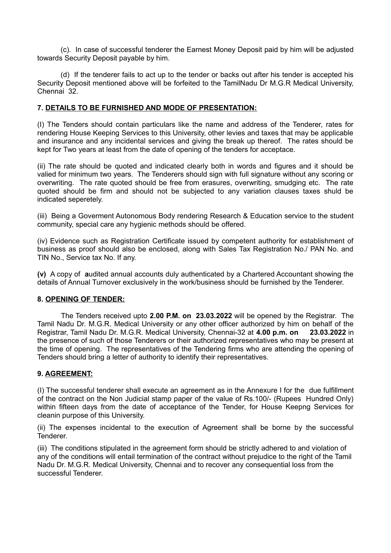(c). In case of successful tenderer the Earnest Money Deposit paid by him will be adjusted towards Security Deposit payable by him.

(d) If the tenderer fails to act up to the tender or backs out after his tender is accepted his Security Deposit mentioned above will be forfeited to the TamilNadu Dr M.G.R Medical University, Chennai 32.

#### **7. DETAILS TO BE FURNISHED AND MODE OF PRESENTATION:**

(I) The Tenders should contain particulars like the name and address of the Tenderer, rates for rendering House Keeping Services to this University, other levies and taxes that may be applicable and insurance and any incidental services and giving the break up thereof. The rates should be kept for Two years at least from the date of opening of the tenders for acceptace.

(ii) The rate should be quoted and indicated clearly both in words and figures and it should be valied for minimum two years. The Tenderers should sign with full signature without any scoring or overwriting. The rate quoted should be free from erasures, overwriting, smudging etc. The rate quoted should be firm and should not be subjected to any variation clauses taxes shuld be indicated seperetely.

(iii) Being a Goverment Autonomous Body rendering Research & Education service to the student community, special care any hygienic methods should be offered.

(iv) Evidence such as Registration Certificate issued by competent authority for establishment of business as proof should also be enclosed, along with Sales Tax Registration No./ PAN No. and TIN No., Service tax No. If any.

**(v)** A copy of **a**udited annual accounts duly authenticated by a Chartered Accountant showing the details of Annual Turnover exclusively in the work/business should be furnished by the Tenderer.

#### **8. OPENING OF TENDER:**

The Tenders received upto **2.00 P.M. on 23.03.2022** will be opened by the Registrar. The Tamil Nadu Dr. M.G.R. Medical University or any other officer authorized by him on behalf of the Registrar, Tamil Nadu Dr. M.G.R. Medical University, Chennai-32 at **4.00 p.m. on 23.03.2022** in the presence of such of those Tenderers or their authorized representatives who may be present at the time of opening. The representatives of the Tendering firms who are attending the opening of Tenders should bring a letter of authority to identify their representatives.

#### **9. AGREEMENT:**

(I) The successful tenderer shall execute an agreement as in the Annexure I for the due fulfillment of the contract on the Non Judicial stamp paper of the value of Rs.100/- (Rupees Hundred Only) within fifteen days from the date of acceptance of the Tender, for House Keepng Services for cleanin purpose of this University.

(ii) The expenses incidental to the execution of Agreement shall be borne by the successful Tenderer.

(iii) The conditions stipulated in the agreement form should be strictly adhered to and violation of any of the conditions will entail termination of the contract without prejudice to the right of the Tamil Nadu Dr. M.G.R. Medical University, Chennai and to recover any consequential loss from the successful Tenderer.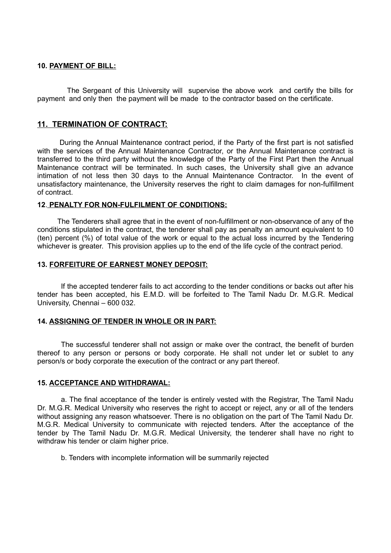#### **10. PAYMENT OF BILL:**

 The Sergeant of this University will supervise the above work and certify the bills for payment and only then the payment will be made to the contractor based on the certificate.

#### **11. TERMINATION OF CONTRACT:**

 During the Annual Maintenance contract period, if the Party of the first part is not satisfied with the services of the Annual Maintenance Contractor, or the Annual Maintenance contract is transferred to the third party without the knowledge of the Party of the First Part then the Annual Maintenance contract will be terminated. In such cases, the University shall give an advance intimation of not less then 30 days to the Annual Maintenance Contractor. In the event of unsatisfactory maintenance, the University reserves the right to claim damages for non-fulfillment of contract.

#### **12**. **PENALTY FOR NON-FULFILMENT OF CONDITIONS:**

 The Tenderers shall agree that in the event of non-fulfillment or non-observance of any of the conditions stipulated in the contract, the tenderer shall pay as penalty an amount equivalent to 10 (ten) percent (%) of total value of the work or equal to the actual loss incurred by the Tendering whichever is greater. This provision applies up to the end of the life cycle of the contract period.

#### **13. FORFEITURE OF EARNEST MONEY DEPOSIT:**

If the accepted tenderer fails to act according to the tender conditions or backs out after his tender has been accepted, his E.M.D. will be forfeited to The Tamil Nadu Dr. M.G.R. Medical University, Chennai – 600 032.

#### **14. ASSIGNING OF TENDER IN WHOLE OR IN PART:**

The successful tenderer shall not assign or make over the contract, the benefit of burden thereof to any person or persons or body corporate. He shall not under let or sublet to any person/s or body corporate the execution of the contract or any part thereof.

#### **15. ACCEPTANCE AND WITHDRAWAL:**

a. The final acceptance of the tender is entirely vested with the Registrar, The Tamil Nadu Dr. M.G.R. Medical University who reserves the right to accept or reject, any or all of the tenders without assigning any reason whatsoever. There is no obligation on the part of The Tamil Nadu Dr. M.G.R. Medical University to communicate with rejected tenders. After the acceptance of the tender by The Tamil Nadu Dr. M.G.R. Medical University, the tenderer shall have no right to withdraw his tender or claim higher price.

b. Tenders with incomplete information will be summarily rejected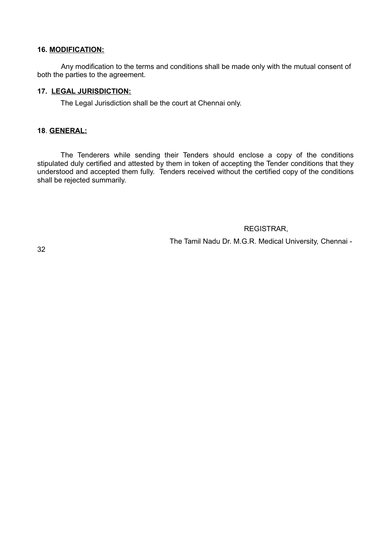#### **16. MODIFICATION:**

Any modification to the terms and conditions shall be made only with the mutual consent of both the parties to the agreement.

#### **17. LEGAL JURISDICTION:**

The Legal Jurisdiction shall be the court at Chennai only.

#### **18**. **GENERAL:**

The Tenderers while sending their Tenders should enclose a copy of the conditions stipulated duly certified and attested by them in token of accepting the Tender conditions that they understood and accepted them fully. Tenders received without the certified copy of the conditions shall be rejected summarily.

#### REGISTRAR,

The Tamil Nadu Dr. M.G.R. Medical University, Chennai -

32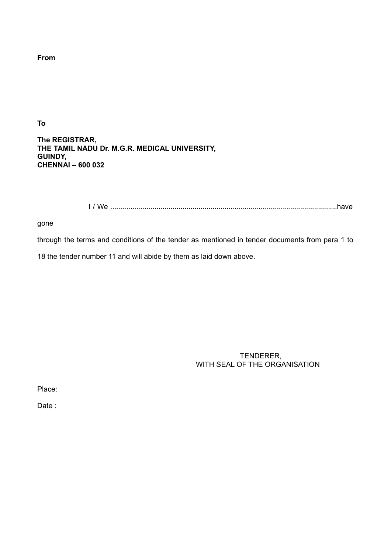**From**

**To**

**The REGISTRAR, THE TAMIL NADU Dr. M.G.R. MEDICAL UNIVERSITY, GUINDY, CHENNAI – 600 032**

I / We .................................................................................................................have

gone

through the terms and conditions of the tender as mentioned in tender documents from para 1 to

18 the tender number 11 and will abide by them as laid down above.

 TENDERER, WITH SEAL OF THE ORGANISATION

Place:

Date :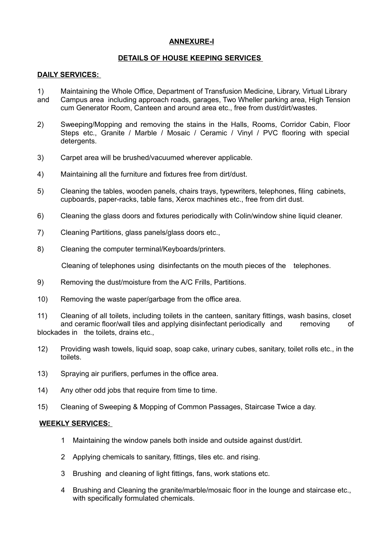#### **ANNEXURE-I**

#### **DETAILS OF HOUSE KEEPING SERVICES**

#### **DAILY SERVICES:**

- 1) Maintaining the Whole Office, Department of Transfusion Medicine, Library, Virtual Library and Campus area including approach roads, garages, Two Wheller parking area, High Tension cum Generator Room, Canteen and around area etc., free from dust/dirt/wastes.
- 2) Sweeping/Mopping and removing the stains in the Halls, Rooms, Corridor Cabin, Floor Steps etc., Granite / Marble / Mosaic / Ceramic / Vinyl / PVC flooring with special detergents.
- 3) Carpet area will be brushed/vacuumed wherever applicable.
- 4) Maintaining all the furniture and fixtures free from dirt/dust.
- 5) Cleaning the tables, wooden panels, chairs trays, typewriters, telephones, filing cabinets, cupboards, paper-racks, table fans, Xerox machines etc., free from dirt dust.
- 6) Cleaning the glass doors and fixtures periodically with Colin/window shine liquid cleaner.
- 7) Cleaning Partitions, glass panels/glass doors etc.,
- 8) Cleaning the computer terminal/Keyboards/printers.

Cleaning of telephones using disinfectants on the mouth pieces of the telephones.

- 9) Removing the dust/moisture from the A/C Frills, Partitions.
- 10) Removing the waste paper/garbage from the office area.
- 11) Cleaning of all toilets, including toilets in the canteen, sanitary fittings, wash basins, closet and ceramic floor/wall tiles and applying disinfectant periodically and removing of blockades in the toilets, drains etc.,
- 12) Providing wash towels, liquid soap, soap cake, urinary cubes, sanitary, toilet rolls etc., in the toilets.
- 13) Spraying air purifiers, perfumes in the office area.
- 14) Any other odd jobs that require from time to time.
- 15) Cleaning of Sweeping & Mopping of Common Passages, Staircase Twice a day.

#### **WEEKLY SERVICES:**

- 1 Maintaining the window panels both inside and outside against dust/dirt.
- 2 Applying chemicals to sanitary, fittings, tiles etc. and rising.
- 3 Brushing and cleaning of light fittings, fans, work stations etc.
- 4 Brushing and Cleaning the granite/marble/mosaic floor in the lounge and staircase etc., with specifically formulated chemicals.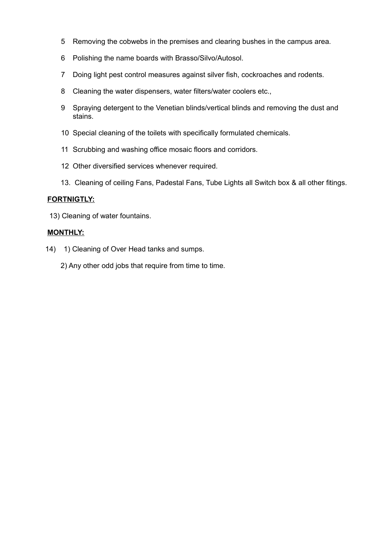- 5 Removing the cobwebs in the premises and clearing bushes in the campus area.
- 6 Polishing the name boards with Brasso/Silvo/Autosol.
- 7 Doing light pest control measures against silver fish, cockroaches and rodents.
- 8 Cleaning the water dispensers, water filters/water coolers etc.,
- 9 Spraying detergent to the Venetian blinds/vertical blinds and removing the dust and stains.
- 10 Special cleaning of the toilets with specifically formulated chemicals.
- 11 Scrubbing and washing office mosaic floors and corridors.
- 12 Other diversified services whenever required.
- 13. Cleaning of ceiling Fans, Padestal Fans, Tube Lights all Switch box & all other fitings.

#### **FORTNIGTLY:**

13) Cleaning of water fountains.

#### **MONTHLY:**

14) 1) Cleaning of Over Head tanks and sumps.

2) Any other odd jobs that require from time to time.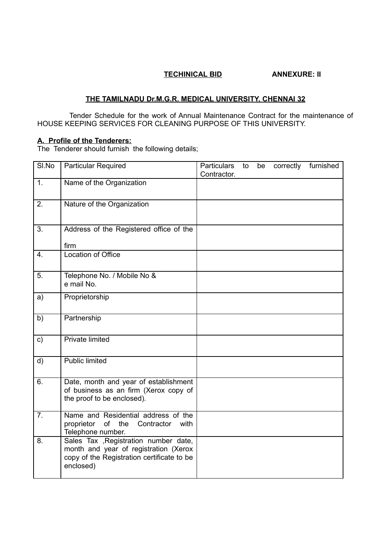#### **TECHINICAL BID ANNEXURE: II**

#### **THE TAMILNADU Dr.M.G.R. MEDICAL UNIVERSITY, CHENNAI 32**

 Tender Schedule for the work of Annual Maintenance Contract for the maintenance of HOUSE KEEPING SERVICES FOR CLEANING PURPOSE OF THIS UNIVERSITY.

#### **A. Profile of the Tenderers:**

The Tenderer should furnish the following details;

| SI.No            | Particular Required                                                                                                                       | <b>Particulars</b><br>Contractor. | to | be | correctly | furnished |
|------------------|-------------------------------------------------------------------------------------------------------------------------------------------|-----------------------------------|----|----|-----------|-----------|
| 1.               | Name of the Organization                                                                                                                  |                                   |    |    |           |           |
| 2.               | Nature of the Organization                                                                                                                |                                   |    |    |           |           |
| 3.               | Address of the Registered office of the<br>firm                                                                                           |                                   |    |    |           |           |
| 4.               | Location of Office                                                                                                                        |                                   |    |    |           |           |
| 5.               | Telephone No. / Mobile No &<br>e mail No.                                                                                                 |                                   |    |    |           |           |
| a)               | Proprietorship                                                                                                                            |                                   |    |    |           |           |
| b)               | Partnership                                                                                                                               |                                   |    |    |           |           |
| $\mathsf{c})$    | <b>Private limited</b>                                                                                                                    |                                   |    |    |           |           |
| d)               | <b>Public limited</b>                                                                                                                     |                                   |    |    |           |           |
| 6.               | Date, month and year of establishment<br>of business as an firm (Xerox copy of<br>the proof to be enclosed).                              |                                   |    |    |           |           |
| $\overline{7}$ . | Name and Residential address of the<br>proprietor<br>of the<br>with<br>Contractor<br>Telephone number.                                    |                                   |    |    |           |           |
| 8.               | Sales Tax , Registration number date,<br>month and year of registration (Xerox<br>copy of the Registration certificate to be<br>enclosed) |                                   |    |    |           |           |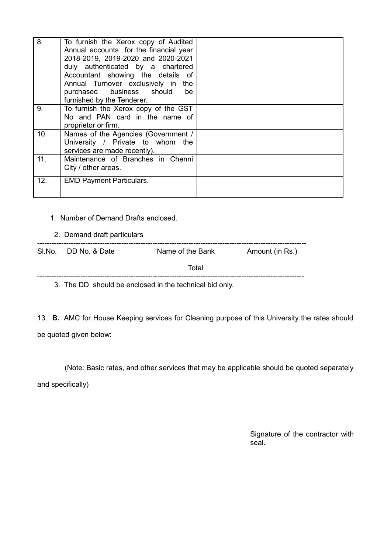| 8.  | To furnish the Xerox copy of Audited<br>Annual accounts for the financial year<br>2018-2019, 2019-2020 and 2020-2021<br>duly authenticated by a chartered<br>Accountant showing the details of<br>Annual Turnover exclusively in the<br>purchased business should<br>be<br>furnished by the Tenderer. |  |
|-----|-------------------------------------------------------------------------------------------------------------------------------------------------------------------------------------------------------------------------------------------------------------------------------------------------------|--|
| 9.  | To furnish the Xerox copy of the GST<br>No and PAN card in the name of<br>proprietor or firm.                                                                                                                                                                                                         |  |
| 10. | Names of the Agencies (Government /<br>University / Private to whom<br>the<br>services are made recently).                                                                                                                                                                                            |  |
| 11. | Maintenance of Branches in Chenni<br>City / other areas.                                                                                                                                                                                                                                              |  |
| 12. | <b>EMD Payment Particulars.</b>                                                                                                                                                                                                                                                                       |  |

#### 1. Number of Demand Drafts enclosed.

#### 2. Demand draft particulars

| SI.No. DD No. & Date | Name of the Bank                                        | Amount (in Rs.) |
|----------------------|---------------------------------------------------------|-----------------|
|                      | Total                                                   |                 |
|                      | 3. The DD should be enclosed in the technical bid only. |                 |

13. **B.** AMC for House Keeping services for Cleaning purpose of this University the rates should be quoted given below:

(Note: Basic rates, and other services that may be applicable should be quoted separately

and specifically)

Signature of the contractor with seal.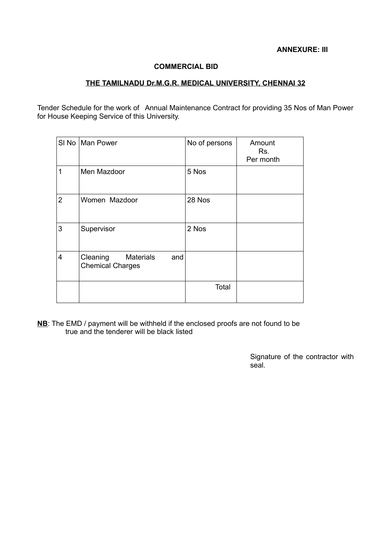### **ANNEXURE: III**

#### **COMMERCIAL BID**

#### **THE TAMILNADU Dr.M.G.R. MEDICAL UNIVERSITY, CHENNAI 32**

Tender Schedule for the work of Annual Maintenance Contract for providing 35 Nos of Man Power for House Keeping Service of this University.

|                | SI No   Man Power                                              | No of persons | Amount<br>Rs.<br>Per month |
|----------------|----------------------------------------------------------------|---------------|----------------------------|
| 1              | Men Mazdoor                                                    | 5 Nos         |                            |
| $\overline{2}$ | Women Mazdoor                                                  | 28 Nos        |                            |
| 3              | Supervisor                                                     | 2 Nos         |                            |
| 4              | <b>Materials</b><br>Cleaning<br>and<br><b>Chemical Charges</b> |               |                            |
|                |                                                                | Total         |                            |

**NB**: The EMD / payment will be withheld if the enclosed proofs are not found to be true and the tenderer will be black listed

> Signature of the contractor with seal.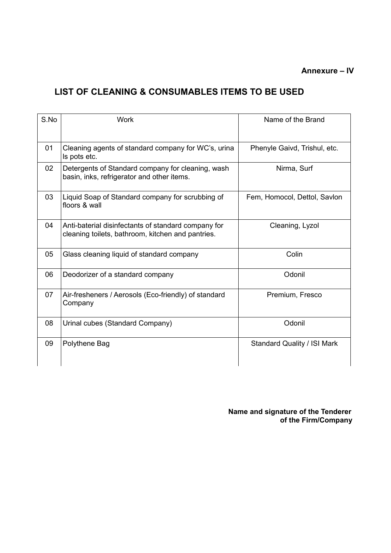# **Annexure – IV**

# **LIST OF CLEANING & CONSUMABLES ITEMS TO BE USED**

| $S$ . No. | Work                                                                                                     | Name of the Brand                  |
|-----------|----------------------------------------------------------------------------------------------------------|------------------------------------|
| 01        | Cleaning agents of standard company for WC's, urina<br>Is pots etc.                                      | Phenyle Gaivd, Trishul, etc.       |
| 02        | Detergents of Standard company for cleaning, wash<br>basin, inks, refrigerator and other items.          | Nirma, Surf                        |
| 03        | Liquid Soap of Standard company for scrubbing of<br>floors & wall                                        | Fem, Homocol, Dettol, Savlon       |
| 04        | Anti-baterial disinfectants of standard company for<br>cleaning toilets, bathroom, kitchen and pantries. | Cleaning, Lyzol                    |
| 05        | Glass cleaning liquid of standard company                                                                | Colin                              |
| 06        | Deodorizer of a standard company                                                                         | Odonil                             |
| 07        | Air-fresheners / Aerosols (Eco-friendly) of standard<br>Company                                          | Premium, Fresco                    |
| 08        | Urinal cubes (Standard Company)                                                                          | Odonil                             |
| 09        | Polythene Bag                                                                                            | <b>Standard Quality / ISI Mark</b> |

 **Name and signature of the Tenderer of the Firm/Company**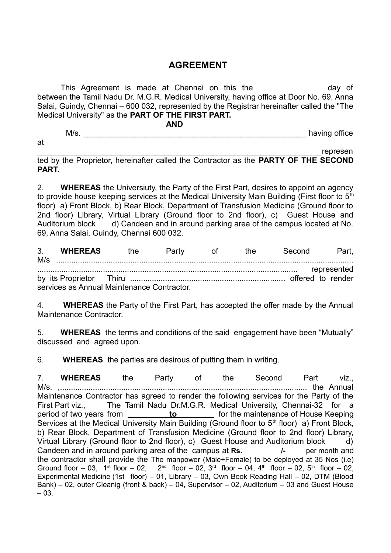# **AGREEMENT**

This Agreement is made at Chennai on this the more day of between the Tamil Nadu Dr. M.G.R. Medical University, having office at Door No. 69, Anna Salai, Guindy, Chennai – 600 032, represented by the Registrar hereinafter called the "The Medical University" as the **PART OF THE FIRST PART.**

 **AND**

M/s. The contract of the contract of the contract of the contract of the contract of the contract of the contract of the contract of the contract of the contract of the contract of the contract of the contract of the contr

at

\_\_\_\_\_\_\_\_\_\_\_\_\_\_\_\_\_\_\_\_\_\_\_\_\_\_\_\_\_\_\_\_\_\_\_\_\_\_\_\_\_\_\_\_\_\_\_\_\_\_\_\_\_\_\_\_\_\_\_\_\_\_\_\_\_represen ted by the Proprietor, hereinafter called the Contractor as the **PARTY OF THE SECOND PART.**

2. **WHEREAS** the Universiuty, the Party of the First Part, desires to appoint an agency to provide house keeping services at the Medical University Main Building (First floor to  $5<sup>th</sup>$ floor) a) Front Block, b) Rear Block, Department of Transfusion Medicine (Ground floor to 2nd floor) Library, Virtual Library (Ground floor to 2nd floor), c) Guest House and Auditorium block d) Candeen and in around parking area of the campus located at No. 69, Anna Salai, Guindy, Chennai 600 032.

3. **WHEREAS** the Party of the Second Part, M/s ........................................................................................................................................ ....................................................................................................................... represented by its Proprietor Thiru ....................................................................... offered to render services as Annual Maintenance Contractor.

4. **WHEREAS** the Party of the First Part, has accepted the offer made by the Annual Maintenance Contractor.

5. **WHEREAS** the terms and conditions of the said engagement have been "Mutually" discussed and agreed upon.

6. **WHEREAS** the parties are desirous of putting them in writing.

7. **WHEREAS** the Party of the Second Part viz., M/s. ,................................................................................................................. the Annual Maintenance Contractor has agreed to render the following services for the Party of the First Part viz., The Tamil Nadu Dr.M.G.R. Medical University, Chennai-32 for a period of two years from **to** for the maintenance of House Keeping Services at the Medical University Main Building (Ground floor to  $5<sup>th</sup>$  floor) a) Front Block, b) Rear Block, Department of Transfusion Medicine (Ground floor to 2nd floor) Library, Virtual Library (Ground floor to 2nd floor), c) Guest House and Auditorium block d) Candeen and in around parking area of the campus at Rs. *I***-** per month and the contractor shall provide the The manpower (Male+Female) to be deployed at 35 Nos (i.e) Ground floor – 03, 1<sup>st</sup> floor – 02, 2<sup>nd</sup> floor – 02, 3<sup>rd</sup> floor – 04, 4<sup>th</sup> floor – 02, 5<sup>th</sup> floor – 02, Experimental Medicine (1st floor) – 01, Library – 03, Own Book Reading Hall – 02, DTM (Blood Bank) – 02, outer Cleanig (front & back) – 04, Supervisor – 02, Auditorium – 03 and Guest House – 03.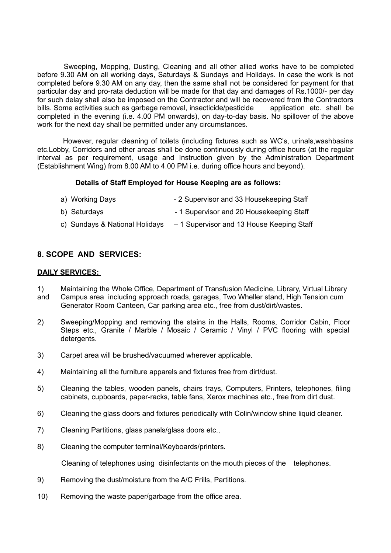Sweeping, Mopping, Dusting, Cleaning and all other allied works have to be completed before 9.30 AM on all working days, Saturdays & Sundays and Holidays. In case the work is not completed before 9.30 AM on any day, then the same shall not be considered for payment for that particular day and pro-rata deduction will be made for that day and damages of Rs.1000/- per day for such delay shall also be imposed on the Contractor and will be recovered from the Contractors bills. Some activities such as garbage removal, insecticide/pesticide application etc. shall be completed in the evening (i.e. 4.00 PM onwards), on day-to-day basis. No spillover of the above work for the next day shall be permitted under any circumstances.

 However, regular cleaning of toilets (including fixtures such as WC's, urinals,washbasins etc.Lobby, Corridors and other areas shall be done continuously during office hours (at the regular interval as per requirement, usage and Instruction given by the Administration Department (Establishment Wing) from 8.00 AM to 4.00 PM i.e. during office hours and beyond).

#### **Details of Staff Employed for House Keeping are as follows:**

- a) Working Days 2 Supervisor and 33 Housekeeping Staff b) Saturdays **- 1 Supervisor and 20 Housekeeping Staff**
- c) Sundays & National Holidays 1 Supervisor and 13 House Keeping Staff

# **8. SCOPE AND SERVICES:**

#### **DAILY SERVICES:**

- 1) Maintaining the Whole Office, Department of Transfusion Medicine, Library, Virtual Library and Campus area including approach roads, garages, Two Wheller stand, High Tension cum Generator Room Canteen, Car parking area etc., free from dust/dirt/wastes.
- 2) Sweeping/Mopping and removing the stains in the Halls, Rooms, Corridor Cabin, Floor Steps etc., Granite / Marble / Mosaic / Ceramic / Vinyl / PVC flooring with special detergents.
- 3) Carpet area will be brushed/vacuumed wherever applicable.
- 4) Maintaining all the furniture apparels and fixtures free from dirt/dust.
- 5) Cleaning the tables, wooden panels, chairs trays, Computers, Printers, telephones, filing cabinets, cupboards, paper-racks, table fans, Xerox machines etc., free from dirt dust.
- 6) Cleaning the glass doors and fixtures periodically with Colin/window shine liquid cleaner.
- 7) Cleaning Partitions, glass panels/glass doors etc.,
- 8) Cleaning the computer terminal/Keyboards/printers.

Cleaning of telephones using disinfectants on the mouth pieces of the telephones.

- 9) Removing the dust/moisture from the A/C Frills, Partitions.
- 10) Removing the waste paper/garbage from the office area.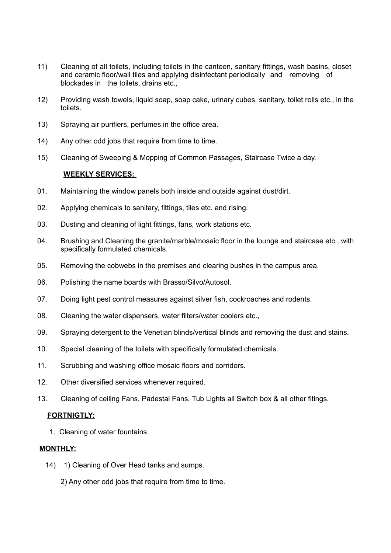- 11) Cleaning of all toilets, including toilets in the canteen, sanitary fittings, wash basins, closet and ceramic floor/wall tiles and applying disinfectant periodically and removing of blockades in the toilets, drains etc.,
- 12) Providing wash towels, liquid soap, soap cake, urinary cubes, sanitary, toilet rolls etc., in the toilets.
- 13) Spraying air purifiers, perfumes in the office area.
- 14) Any other odd jobs that require from time to time.
- 15) Cleaning of Sweeping & Mopping of Common Passages, Staircase Twice a day.

#### **WEEKLY SERVICES:**

- 01. Maintaining the window panels both inside and outside against dust/dirt.
- 02. Applying chemicals to sanitary, fittings, tiles etc. and rising.
- 03. Dusting and cleaning of light fittings, fans, work stations etc.
- 04. Brushing and Cleaning the granite/marble/mosaic floor in the lounge and staircase etc., with specifically formulated chemicals.
- 05. Removing the cobwebs in the premises and clearing bushes in the campus area.
- 06. Polishing the name boards with Brasso/Silvo/Autosol.
- 07. Doing light pest control measures against silver fish, cockroaches and rodents.
- 08. Cleaning the water dispensers, water filters/water coolers etc.,
- 09. Spraying detergent to the Venetian blinds/vertical blinds and removing the dust and stains.
- 10. Special cleaning of the toilets with specifically formulated chemicals.
- 11. Scrubbing and washing office mosaic floors and corridors.
- 12. Other diversified services whenever required.
- 13. Cleaning of ceiling Fans, Padestal Fans, Tub Lights all Switch box & all other fitings.

#### **FORTNIGTLY:**

1. Cleaning of water fountains.

#### **MONTHLY:**

- 14) 1) Cleaning of Over Head tanks and sumps.
	- 2) Any other odd jobs that require from time to time.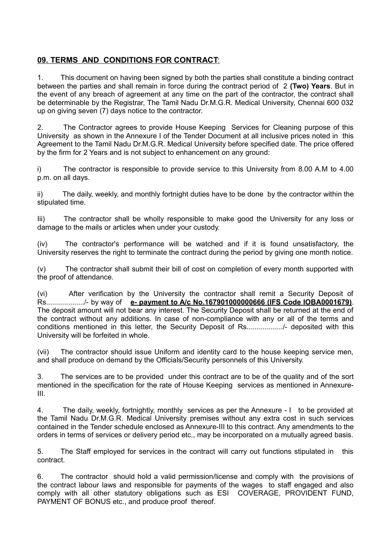# **09. TERMS AND CONDITIONS FOR CONTRACT**:

1. This document on having been signed by both the parties shall constitute a binding contract between the parties and shall remain in force during the contract period of 2 **(Two) Years**. But in the event of any breach of agreement at any time on the part of the contractor, the contract shall be determinable by the Registrar, The Tamil Nadu Dr.M.G.R. Medical University, Chennai 600 032 up on giving seven (7) days notice to the contractor.

2. The Contractor agrees to provide House Keeping Services for Cleaning purpose of this University as shown in the Annexure I of the Tender Document at all inclusive prices noted in this Agreement to the Tamil Nadu Dr.M.G.R. Medical University before specified date. The price offered by the firm for 2 Years and is not subject to enhancement on any ground:

i) The contractor is responsible to provide service to this University from 8.00 A.M to 4.00 p.m. on all days.

ii) The daily, weekly, and monthly fortnight duties have to be done by the contractor within the stipulated time.

Iii) The contractor shall be wholly responsible to make good the University for any loss or damage to the mails or articles when under your custody.

(iv) The contractor's performance will be watched and if it is found unsatisfactory, the University reserves the right to terminate the contract during the period by giving one month notice.

(v) The contractor shall submit their bill of cost on completion of every month supported with the proof of attendance.

(vi) After verification by the University the contractor shall remit a Security Deposit of Rs.................../- by way of **e- payment to A/c No.167901000000666 (IFS Code IOBA0001679)**. The deposit amount will not bear any interest. The Security Deposit shall be returned at the end of the contract without any additions. In case of non-compliance with any or all of the terms and conditions mentioned in this letter, the Security Deposit of Rs................../- deposited with this University will be forfeited in whole.

(vii) The contractor should issue Uniform and identity card to the house keeping service men, and shall produce on demand by the Officials/Security personnels of this University.

3. The services are to be provided under this contract are to be of the quality and of the sort mentioned in the specification for the rate of House Keeping services as mentioned in Annexure-III.

4. The daily, weekly, fortnightly, monthly services as per the Annexure - I to be provided at the Tamil Nadu Dr.M.G.R. Medical University premises without any extra cost in such services contained in the Tender schedule enclosed as Annexure-III to this contract. Any amendments to the orders in terms of services or delivery period etc., may be incorporated on a mutually agreed basis.

5. The Staff employed for services in the contract will carry out functions stipulated in this contract.

6. The contractor should hold a valid permission/license and comply with the provisions of the contract labour laws and responsible for payments of the wages to staff engaged and also comply with all other statutory obligations such as ESI COVERAGE, PROVIDENT FUND, PAYMENT OF BONUS etc., and produce proof thereof.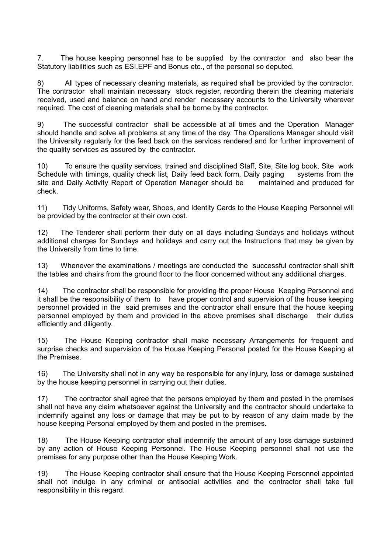7. The house keeping personnel has to be supplied by the contractor and also bear the Statutory liabilities such as ESI,EPF and Bonus etc., of the personal so deputed.

8) All types of necessary cleaning materials, as required shall be provided by the contractor. The contractor shall maintain necessary stock register, recording therein the cleaning materials received, used and balance on hand and render necessary accounts to the University wherever required. The cost of cleaning materials shall be borne by the contractor.

9) The successful contractor shall be accessible at all times and the Operation Manager should handle and solve all problems at any time of the day. The Operations Manager should visit the University regularly for the feed back on the services rendered and for further improvement of the quality services as assured by the contractor.

10) To ensure the quality services, trained and disciplined Staff, Site, Site log book, Site work Schedule with timings, quality check list, Daily feed back form, Daily paging systems from the site and Daily Activity Report of Operation Manager should be maintained and produced for check.

11) Tidy Uniforms, Safety wear, Shoes, and Identity Cards to the House Keeping Personnel will be provided by the contractor at their own cost.

12) The Tenderer shall perform their duty on all days including Sundays and holidays without additional charges for Sundays and holidays and carry out the Instructions that may be given by the University from time to time.

13) Whenever the examinations / meetings are conducted the successful contractor shall shift the tables and chairs from the ground floor to the floor concerned without any additional charges.

14) The contractor shall be responsible for providing the proper House Keeping Personnel and it shall be the responsibility of them to have proper control and supervision of the house keeping personnel provided in the said premises and the contractor shall ensure that the house keeping personnel employed by them and provided in the above premises shall discharge their duties efficiently and diligently.

15) The House Keeping contractor shall make necessary Arrangements for frequent and surprise checks and supervision of the House Keeping Personal posted for the House Keeping at the Premises.

16) The University shall not in any way be responsible for any injury, loss or damage sustained by the house keeping personnel in carrying out their duties.

17) The contractor shall agree that the persons employed by them and posted in the premises shall not have any claim whatsoever against the University and the contractor should undertake to indemnify against any loss or damage that may be put to by reason of any claim made by the house keeping Personal employed by them and posted in the premises.

18) The House Keeping contractor shall indemnify the amount of any loss damage sustained by any action of House Keeping Personnel. The House Keeping personnel shall not use the premises for any purpose other than the House Keeping Work.

19) The House Keeping contractor shall ensure that the House Keeping Personnel appointed shall not indulge in any criminal or antisocial activities and the contractor shall take full responsibility in this regard.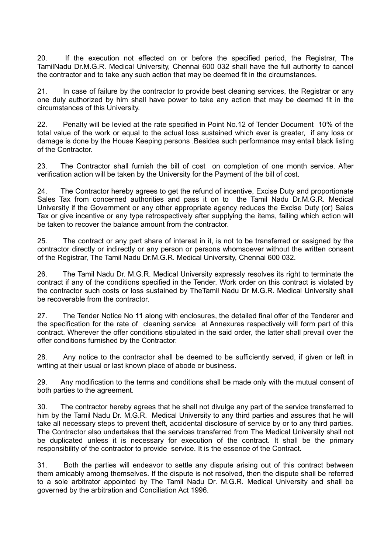20. If the execution not effected on or before the specified period, the Registrar, The TamilNadu Dr.M.G.R. Medical University, Chennai 600 032 shall have the full authority to cancel the contractor and to take any such action that may be deemed fit in the circumstances.

21. In case of failure by the contractor to provide best cleaning services, the Registrar or any one duly authorized by him shall have power to take any action that may be deemed fit in the circumstances of this University.

22. Penalty will be levied at the rate specified in Point No.12 of Tender Document 10% of the total value of the work or equal to the actual loss sustained which ever is greater, if any loss or damage is done by the House Keeping persons .Besides such performance may entail black listing of the Contractor.

23. The Contractor shall furnish the bill of cost on completion of one month service. After verification action will be taken by the University for the Payment of the bill of cost.

24. The Contractor hereby agrees to get the refund of incentive, Excise Duty and proportionate Sales Tax from concerned authorities and pass it on to the Tamil Nadu Dr.M.G.R. Medical University if the Government or any other appropriate agency reduces the Excise Duty (or) Sales Tax or give incentive or any type retrospectively after supplying the items, failing which action will be taken to recover the balance amount from the contractor.

25. The contract or any part share of interest in it, is not to be transferred or assigned by the contractor directly or indirectly or any person or persons whomsoever without the written consent of the Registrar, The Tamil Nadu Dr.M.G.R. Medical University, Chennai 600 032.

26. The Tamil Nadu Dr. M.G.R. Medical University expressly resolves its right to terminate the contract if any of the conditions specified in the Tender. Work order on this contract is violated by the contractor such costs or loss sustained by TheTamil Nadu Dr M.G.R. Medical University shall be recoverable from the contractor.

27. The Tender Notice No **11** along with enclosures, the detailed final offer of the Tenderer and the specification for the rate of cleaning service at Annexures respectively will form part of this contract. Wherever the offer conditions stipulated in the said order, the latter shall prevail over the offer conditions furnished by the Contractor.

28. Any notice to the contractor shall be deemed to be sufficiently served, if given or left in writing at their usual or last known place of abode or business.

29. Any modification to the terms and conditions shall be made only with the mutual consent of both parties to the agreement.

30. The contractor hereby agrees that he shall not divulge any part of the service transferred to him by the Tamil Nadu Dr. M.G.R. Medical University to any third parties and assures that he will take all necessary steps to prevent theft, accidental disclosure of service by or to any third parties. The Contractor also undertakes that the services transferred from The Medical University shall not be duplicated unless it is necessary for execution of the contract. It shall be the primary responsibility of the contractor to provide service. It is the essence of the Contract.

31. Both the parties will endeavor to settle any dispute arising out of this contract between them amicably among themselves. If the dispute is not resolved, then the dispute shall be referred to a sole arbitrator appointed by The Tamil Nadu Dr. M.G.R. Medical University and shall be governed by the arbitration and Conciliation Act 1996.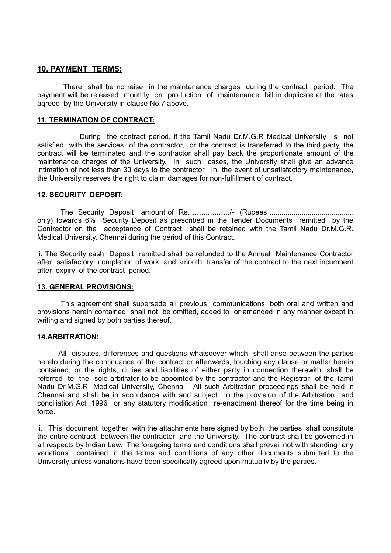#### **10. PAYMENT TERMS:**

 There shall be no raise in the maintenance charges during the contract period. The payment will be released monthly on production of maintenance bill in duplicate at the rates agreed by the University in clause No.7 above.

#### **11. TERMINATION OF CONTRACT:**

 During the contract period, if the Tamil Nadu Dr.M.G.R Medical University is not satisfied with the services of the contractor, or the contract is transferred to the third party, the contract will be terminated and the contractor shall pay back the proportionate amount of the maintenance charges of the University. In such cases, the University shall give an advance intimation of not less than 30 days to the contractor. In the event of unsatisfactory maintenance, the University reserves the right to claim damages for non-fulfillment of contract.

#### **12. SECURITY DEPOSIT:**

The Security Deposit amount of Rs. ................./- (Rupees .......................................... only) towards 6% Security Deposit as prescribed in the Tender Documents remitted by the Contractor on the acceptance of Contract shall be retained with the Tamil Nadu Dr.M.G.R. Medical University, Chennai during the period of this Contract.

ii. The Security cash Deposit remitted shall be refunded to the Annual Maintenance Contractor after satisfactory completion of work and smooth transfer of the contract to the next incumbent after expiry of the contract period.

#### **13. GENERAL PROVISIONS:**

 This agreement shall supersede all previous communications, both oral and written and provisions herein contained shall not be omitted, added to or amended in any manner except in writing and signed by both parties thereof.

#### **14.ARBITRATION:**

 All disputes, differences and questions whatsoever which shall arise between the parties hereto during the continuance of the contract or afterwards, touching any clause or matter herein contained, or the rights, duties and liabilities of either party in connection therewith, shall be referred to the sole arbitrator to be appointed by the contractor and the Registrar of the Tamil Nadu Dr.M.G.R. Medical University, Chennai. All such Arbitration proceedings shall be held in Chennai and shall be in accordance with and subject to the provision of the Arbitration and conciliation Act, 1996 or any statutory modification re-enactment thereof for the time being in force.

ii. This document together with the attachments here signed by both the parties shall constitute the entire contract between the contractor and the University. The contract shall be governed in all respects by Indian Law. The foregoing terms and conditions shall prevail not with standing any variations contained in the terms and conditions of any other documents submitted to the University unless variations have been specifically agreed upon mutually by the parties.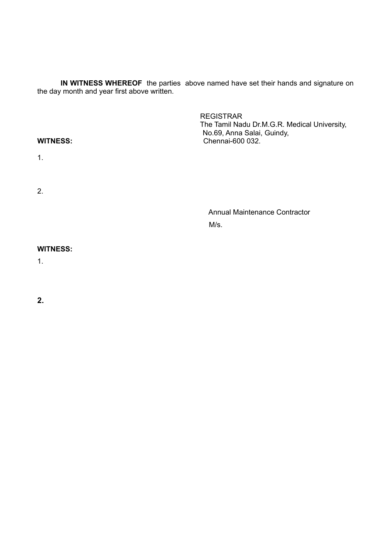**IN WITNESS WHEREOF** the parties above named have set their hands and signature on the day month and year first above written.

| <b>WITNESS:</b> | <b>REGISTRAR</b><br>The Tamil Nadu Dr.M.G.R. Medical University,<br>No.69, Anna Salai, Guindy,<br>Chennai-600 032. |
|-----------------|--------------------------------------------------------------------------------------------------------------------|
| 1.              |                                                                                                                    |
| 2.              |                                                                                                                    |
|                 | <b>Annual Maintenance Contractor</b>                                                                               |
|                 | M/s.                                                                                                               |
| <b>WITNESS:</b> |                                                                                                                    |

1.

**2.**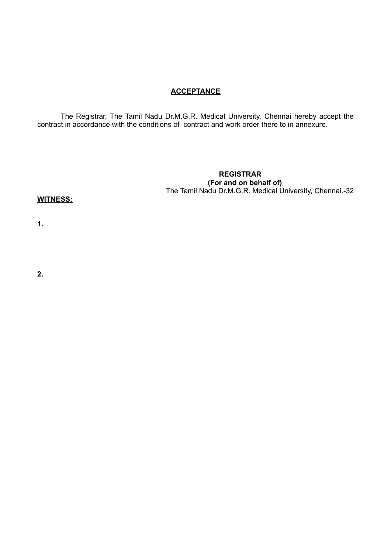# **ACCEPTANCE**

The Registrar, The Tamil Nadu Dr.M.G.R. Medical University, Chennai hereby accept the contract in accordance with the conditions of contract and work order there to in annexure.

#### **REGISTRAR (For and on behalf of)**  The Tamil Nadu Dr.M.G.R. Medical University, Chennai.-32

#### **WITNESS:**

**1.**

**2.**